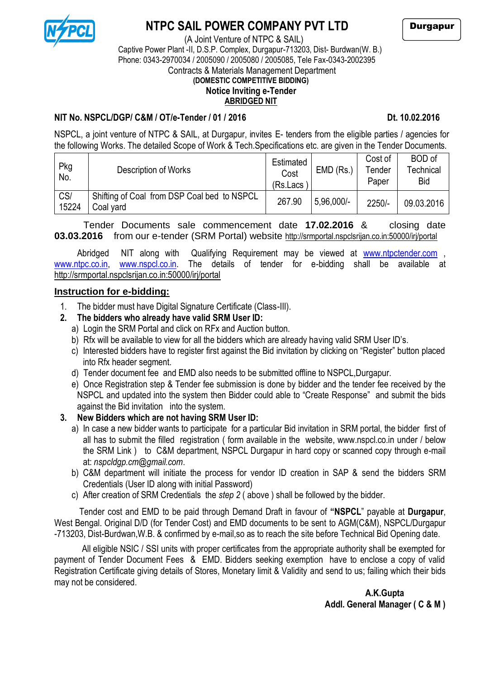

## **NTPC SAIL POWER COMPANY PVT LTD**

(A Joint Venture of NTPC & SAIL)

Durgapur

# Captive Power Plant -II, D.S.P. Complex, Durgapur-713203, Dist- Burdwan(W. B.) Phone: 0343-2970034 / 2005090 / 2005080 / 2005085, Tele Fax-0343-2002395

Contracts & Materials Management Department

## **(DOMESTIC COMPETITIVE BIDDING)**

#### **Notice Inviting e-Tender ABRIDGED NIT**

#### **NIT No. NSPCL/DGP/ C&M / OT/e-Tender / 01 / 2016 Dt. 10.02.2016**

NSPCL, a joint venture of NTPC & SAIL, at Durgapur, invites E- tenders from the eligible parties / agencies for the following Works. The detailed Scope of Work & Tech.Specifications etc. are given in the Tender Documents.

| Pkg<br>No.   | Description of Works                                     | Estimated<br>Cost<br>$(Rs.Lacs^{\dagger})$ | $EMD$ (Rs.)  | Cost of<br>Tender<br>Paper | BOD of<br>Technical<br><b>Bid</b> |
|--------------|----------------------------------------------------------|--------------------------------------------|--------------|----------------------------|-----------------------------------|
| CS/<br>15224 | Shifting of Coal from DSP Coal bed to NSPCL<br>Coal yard | 267.90                                     | $5.96,000/-$ | $2250/-$                   | 09.03.2016                        |

Tender Documents sale commencement date **17.02.2016** & closing date **03.03.2016** from our e-tender (SRM Portal) website http://srmportal.nspclsrijan.co.in:50000/irj/portal

Abridged NIT along with Qualifying Requirement may be viewed at [www.ntpctender.com](http://www.ntpctender.com/) [www.ntpc.co.in,](http://www.ntpc.co.in/) [www.nspcl.co.in.](http://www.nspcl.co.in/) The details of tender for e-bidding shall be available at http://srmportal.nspclsrijan.co.in:50000/irj/portal

#### **Instruction for e-bidding:**

1. The bidder must have Digital Signature Certificate (Class-III).

#### **2. The bidders who already have valid SRM User ID:**

- a) Login the SRM Portal and click on RFx and Auction button.
- b) Rfx will be available to view for all the bidders which are already having valid SRM User ID's.
- c) Interested bidders have to register first against the Bid invitation by clicking on "Register" button placed into Rfx header segment.
- d) Tender document fee and EMD also needs to be submitted offline to NSPCL,Durgapur.
- e) Once Registration step & Tender fee submission is done by bidder and the tender fee received by the NSPCL and updated into the system then Bidder could able to "Create Response" and submit the bids against the Bid invitation into the system.

### **3. New Bidders which are not having SRM User ID:**

- a) In case a new bidder wants to participate for a particular Bid invitation in SRM portal, the bidder first of all has to submit the filled registration ( form available in the website, www.nspcl.co.in under / below the SRM Link ) to C&M department, NSPCL Durgapur in hard copy or scanned copy through e-mail at: *nspcldgp.cm@gmail.com*.
- b) C&M department will initiate the process for vendor ID creation in SAP & send the bidders SRM Credentials (User ID along with initial Password)
- c) After creation of SRM Credentials the *step 2* ( above ) shall be followed by the bidder.

Tender cost and EMD to be paid through Demand Draft in favour of **"NSPCL**" payable at **Durgapur**, West Bengal. Original D/D (for Tender Cost) and EMD documents to be sent to AGM(C&M), NSPCL/Durgapur -713203, Dist-Burdwan,W.B. & confirmed by e-mail,so as to reach the site before Technical Bid Opening date.

 All eligible NSIC / SSI units with proper certificates from the appropriate authority shall be exempted for payment of Tender Document Fees & EMD. Bidders seeking exemption have to enclose a copy of valid Registration Certificate giving details of Stores, Monetary limit & Validity and send to us; failing which their bids may not be considered.

 **A.K.Gupta Addl. General Manager ( C & M )**